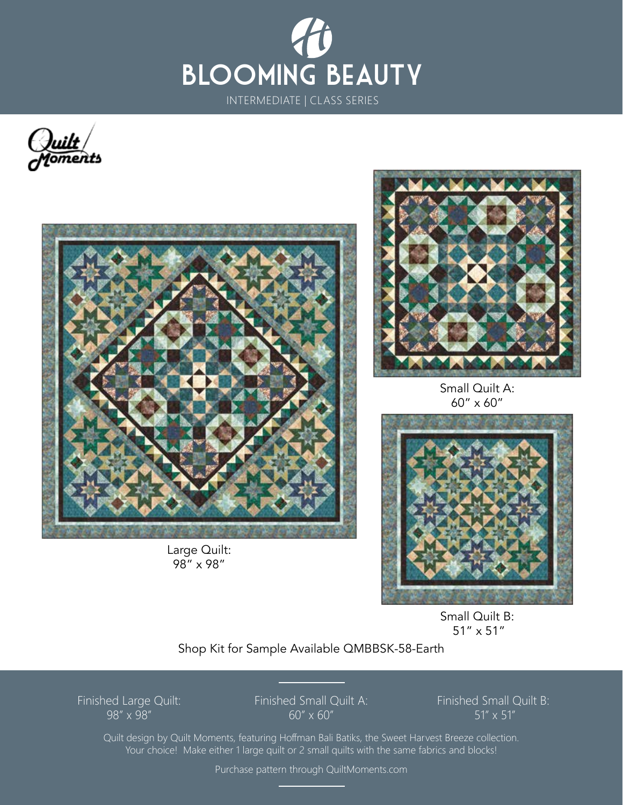





Large Quilt: 98" x 98"



Small Quilt A: 60" x 60"



Small Quilt B: 51" x 51"

Shop Kit for Sample Available QMBBSK-58-Earth

Finished Large Quilt: 98" x 98"

Finished Small Quilt A: 60" x 60"

Finished Small Quilt B: 51" x 51"

Quilt design by Quilt Moments, featuring Hoffman Bali Batiks, the Sweet Harvest Breeze collection. Your choice! Make either 1 large quilt or 2 small quilts with the same fabrics and blocks!

Purchase pattern through QuiltMoments.com